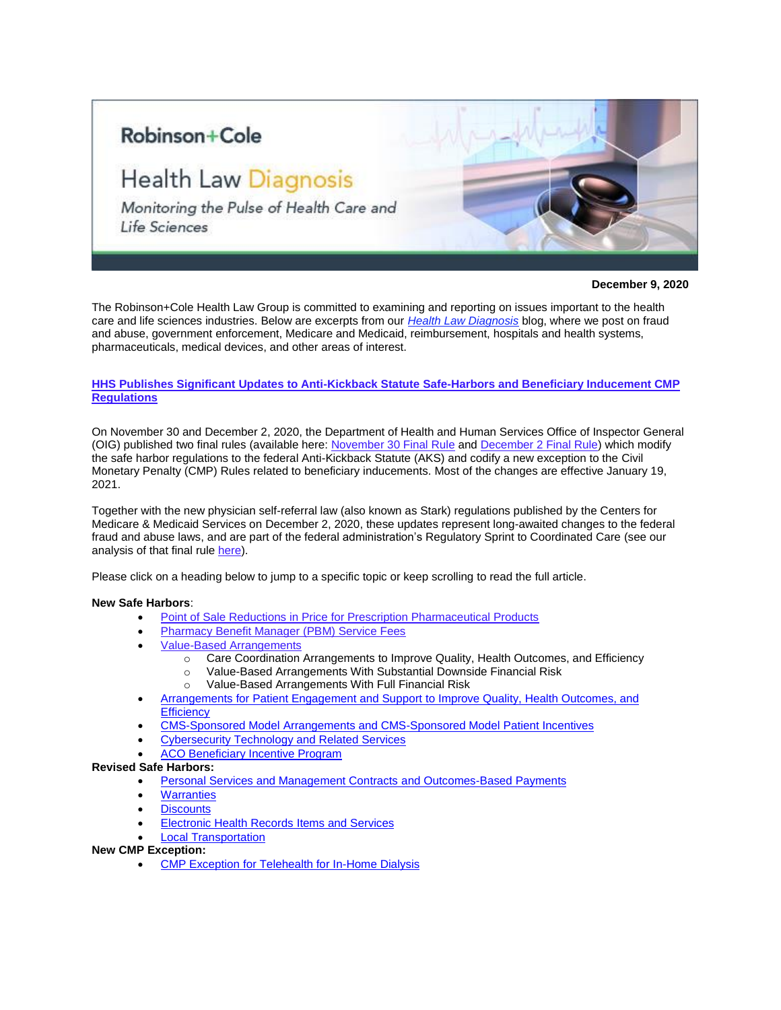## Robinson+Cole

# **Health Law Diagnosis**

Monitoring the Pulse of Health Care and Life Sciences

**December 9, 2020**

The Robinson+Cole Health Law Group is committed to examining and reporting on issues important to the health care and life sciences industries. Below are excerpts from our *[Health Law Diagnosis](https://www.healthlawdiagnosis.com/)* blog, where we post on fraud and abuse, government enforcement, Medicare and Medicaid, reimbursement, hospitals and health systems, pharmaceuticals, medical devices, and other areas of interest.

## **HHS Publishes Significant Updates to Anti-Kickback Statute Safe-Harbors and Beneficiary Inducement CMP Regulations**

On November 30 and December 2, 2020, the Department of Health and Human Services Office of Inspector General (OIG) published two final rules (available here[: November 30 Final Rule](https://www.govinfo.gov/content/pkg/FR-2020-11-30/pdf/2020-25841.pdf) an[d December 2 Final Rule\)](https://www.govinfo.gov/content/pkg/FR-2020-12-02/pdf/2020-26072.pdf) which modify the safe harbor regulations to the federal Anti-Kickback Statute (AKS) and codify a new exception to the Civil Monetary Penalty (CMP) Rules related to beneficiary inducements. Most of the changes are effective January 19, 2021.

Together with the new physician self-referral law (also known as Stark) regulations published by the Centers for Medicare & Medicaid Services on December 2, 2020, these updates represent long-awaited changes to the federal fraud and abuse laws, and are part of the federal administration's Regulatory Sprint to Coordinated Care (see our analysis of that final rule [here\)](https://www.healthlawdiagnosis.com/2020/12/cms-publishes-monumental-changes-and-updates-to-the-physician-self-referral-stark-law-regulations/).

Please click on a heading below to jump to a specific topic or keep scrolling to read the full article.

#### **New Safe Harbors**:

- **[Point of Sale Reductions in Price for Prescription Pharmaceutical Products](#page-1-0)**
- [Pharmacy Benefit Manager \(PBM\) Service Fees](#page-1-1)
- [Value-Based Arrangements](#page-1-2)
	- o Care Coordination Arrangements to Improve Quality, Health Outcomes, and Efficiency
	- o Value-Based Arrangements With Substantial Downside Financial Risk
	- o Value-Based Arrangements With Full Financial Risk
- [Arrangements for Patient Engagement and Support](#page-5-0) to Improve Quality, Health Outcomes, and **[Efficiency](#page-5-0)**
- CMS-Sponsored Model [Arrangements and CMS-Sponsored Model Patient Incentives](#page-6-0)
- [Cybersecurity Technology and](#page-6-1) Related Services
- [ACO Beneficiary Incentive Program](#page-7-0)

#### **Revised Safe Harbors:**

- [Personal Services and Management Contracts and Outcomes-Based Payments](#page-7-1)
- **[Warranties](#page-8-0)**
- **[Discounts](#page-9-0)**
- **[Electronic Health Records Items and Services](#page-9-1)**
- **[Local Transportation](#page-9-2)**

## **New CMP Exception:**

**[CMP Exception for Telehealth for In-Home Dialysis](#page-10-0)**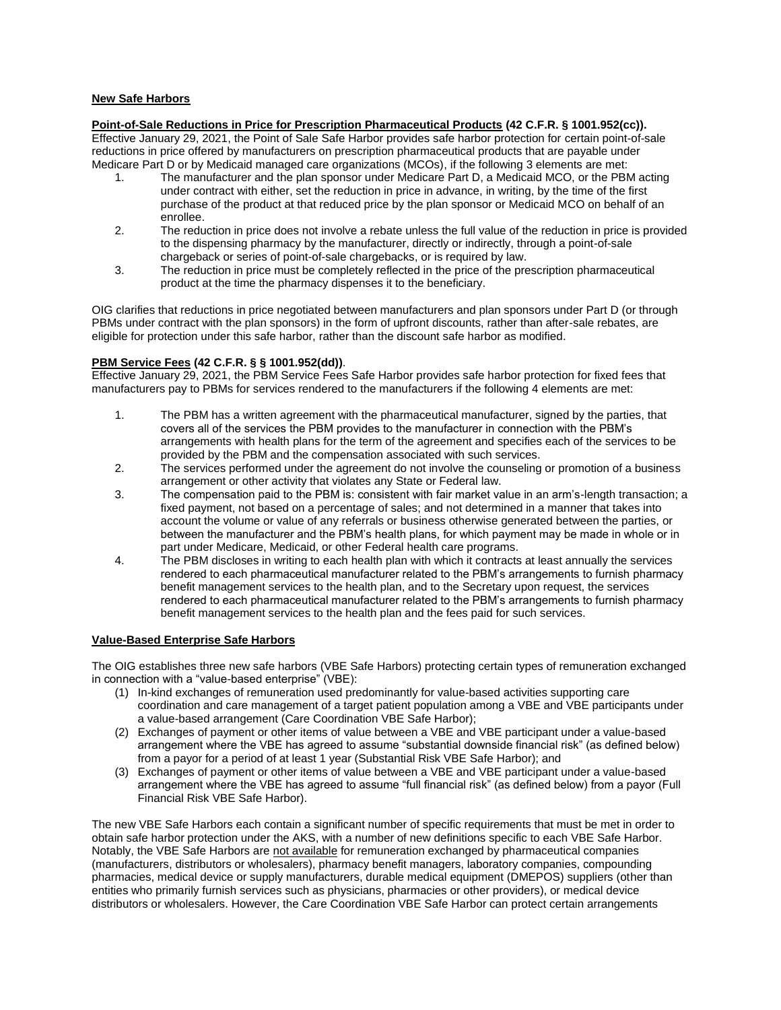## **New Safe Harbors**

<span id="page-1-0"></span>**Point-of-Sale Reductions in Price for Prescription Pharmaceutical Products (42 C.F.R. § 1001.952(cc)).** Effective January 29, 2021, the Point of Sale Safe Harbor provides safe harbor protection for certain point-of-sale reductions in price offered by manufacturers on prescription pharmaceutical products that are payable under Medicare Part D or by Medicaid managed care organizations (MCOs), if the following 3 elements are met:

- 1. The manufacturer and the plan sponsor under Medicare Part D, a Medicaid MCO, or the PBM acting under contract with either, set the reduction in price in advance, in writing, by the time of the first purchase of the product at that reduced price by the plan sponsor or Medicaid MCO on behalf of an enrollee.
- 2. The reduction in price does not involve a rebate unless the full value of the reduction in price is provided to the dispensing pharmacy by the manufacturer, directly or indirectly, through a point-of-sale chargeback or series of point-of-sale chargebacks, or is required by law.
- 3. The reduction in price must be completely reflected in the price of the prescription pharmaceutical product at the time the pharmacy dispenses it to the beneficiary.

OIG clarifies that reductions in price negotiated between manufacturers and plan sponsors under Part D (or through PBMs under contract with the plan sponsors) in the form of upfront discounts, rather than after-sale rebates, are eligible for protection under this safe harbor, rather than the discount safe harbor as modified.

## <span id="page-1-1"></span>**PBM Service Fees (42 C.F.R. § § 1001.952(dd))**.

Effective January 29, 2021, the PBM Service Fees Safe Harbor provides safe harbor protection for fixed fees that manufacturers pay to PBMs for services rendered to the manufacturers if the following 4 elements are met:

- 1. The PBM has a written agreement with the pharmaceutical manufacturer, signed by the parties, that covers all of the services the PBM provides to the manufacturer in connection with the PBM's arrangements with health plans for the term of the agreement and specifies each of the services to be provided by the PBM and the compensation associated with such services.
- 2. The services performed under the agreement do not involve the counseling or promotion of a business arrangement or other activity that violates any State or Federal law.
- 3. The compensation paid to the PBM is: consistent with fair market value in an arm's-length transaction; a fixed payment, not based on a percentage of sales; and not determined in a manner that takes into account the volume or value of any referrals or business otherwise generated between the parties, or between the manufacturer and the PBM's health plans, for which payment may be made in whole or in part under Medicare, Medicaid, or other Federal health care programs.
- 4. The PBM discloses in writing to each health plan with which it contracts at least annually the services rendered to each pharmaceutical manufacturer related to the PBM's arrangements to furnish pharmacy benefit management services to the health plan, and to the Secretary upon request, the services rendered to each pharmaceutical manufacturer related to the PBM's arrangements to furnish pharmacy benefit management services to the health plan and the fees paid for such services.

#### <span id="page-1-2"></span>**Value-Based Enterprise Safe Harbors**

The OIG establishes three new safe harbors (VBE Safe Harbors) protecting certain types of remuneration exchanged in connection with a "value-based enterprise" (VBE):

- (1) In-kind exchanges of remuneration used predominantly for value-based activities supporting care coordination and care management of a target patient population among a VBE and VBE participants under a value-based arrangement (Care Coordination VBE Safe Harbor);
- (2) Exchanges of payment or other items of value between a VBE and VBE participant under a value-based arrangement where the VBE has agreed to assume "substantial downside financial risk" (as defined below) from a payor for a period of at least 1 year (Substantial Risk VBE Safe Harbor); and
- (3) Exchanges of payment or other items of value between a VBE and VBE participant under a value-based arrangement where the VBE has agreed to assume "full financial risk" (as defined below) from a payor (Full Financial Risk VBE Safe Harbor).

The new VBE Safe Harbors each contain a significant number of specific requirements that must be met in order to obtain safe harbor protection under the AKS, with a number of new definitions specific to each VBE Safe Harbor. Notably, the VBE Safe Harbors are not available for remuneration exchanged by pharmaceutical companies (manufacturers, distributors or wholesalers), pharmacy benefit managers, laboratory companies, compounding pharmacies, medical device or supply manufacturers, durable medical equipment (DMEPOS) suppliers (other than entities who primarily furnish services such as physicians, pharmacies or other providers), or medical device distributors or wholesalers. However, the Care Coordination VBE Safe Harbor can protect certain arrangements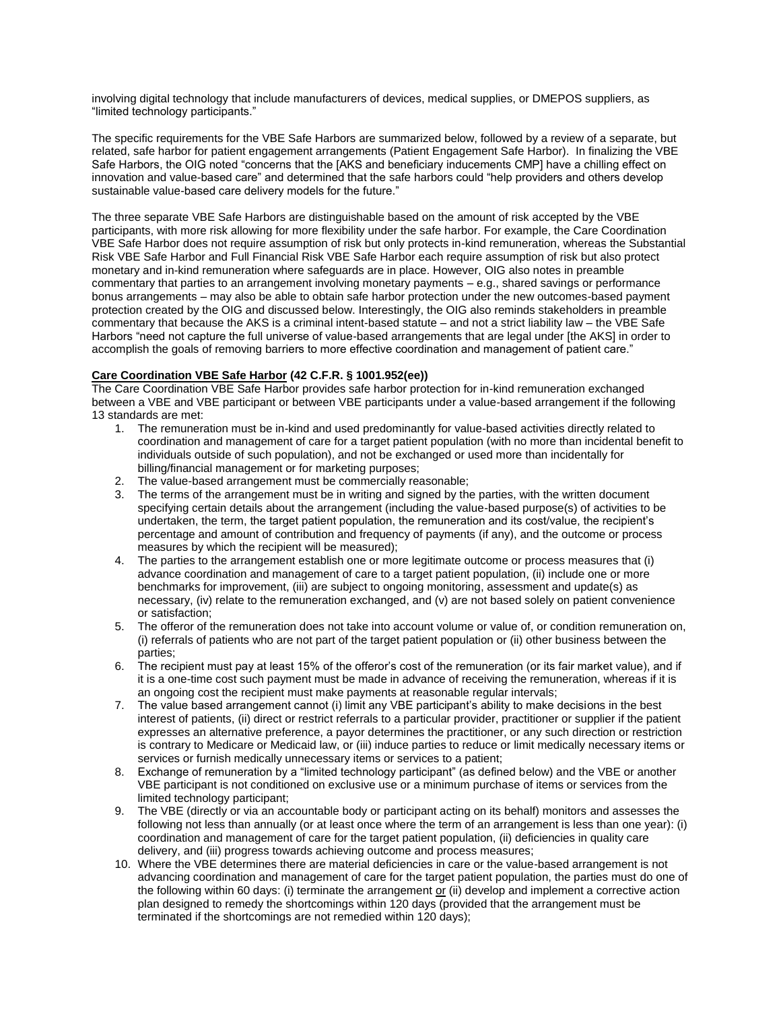involving digital technology that include manufacturers of devices, medical supplies, or DMEPOS suppliers, as "limited technology participants."

The specific requirements for the VBE Safe Harbors are summarized below, followed by a review of a separate, but related, safe harbor for patient engagement arrangements (Patient Engagement Safe Harbor). In finalizing the VBE Safe Harbors, the OIG noted "concerns that the [AKS and beneficiary inducements CMP] have a chilling effect on innovation and value-based care" and determined that the safe harbors could "help providers and others develop sustainable value-based care delivery models for the future."

The three separate VBE Safe Harbors are distinguishable based on the amount of risk accepted by the VBE participants, with more risk allowing for more flexibility under the safe harbor. For example, the Care Coordination VBE Safe Harbor does not require assumption of risk but only protects in-kind remuneration, whereas the Substantial Risk VBE Safe Harbor and Full Financial Risk VBE Safe Harbor each require assumption of risk but also protect monetary and in-kind remuneration where safeguards are in place. However, OIG also notes in preamble commentary that parties to an arrangement involving monetary payments – e.g., shared savings or performance bonus arrangements – may also be able to obtain safe harbor protection under the new outcomes-based payment protection created by the OIG and discussed below. Interestingly, the OIG also reminds stakeholders in preamble commentary that because the AKS is a criminal intent-based statute – and not a strict liability law – the VBE Safe Harbors "need not capture the full universe of value-based arrangements that are legal under [the AKS] in order to accomplish the goals of removing barriers to more effective coordination and management of patient care."

## **Care Coordination VBE Safe Harbor (42 C.F.R. § 1001.952(ee))**

The Care Coordination VBE Safe Harbor provides safe harbor protection for in-kind remuneration exchanged between a VBE and VBE participant or between VBE participants under a value-based arrangement if the following 13 standards are met:

- 1. The remuneration must be in-kind and used predominantly for value-based activities directly related to coordination and management of care for a target patient population (with no more than incidental benefit to individuals outside of such population), and not be exchanged or used more than incidentally for billing/financial management or for marketing purposes;
- 2. The value-based arrangement must be commercially reasonable;
- 3. The terms of the arrangement must be in writing and signed by the parties, with the written document specifying certain details about the arrangement (including the value-based purpose(s) of activities to be undertaken, the term, the target patient population, the remuneration and its cost/value, the recipient's percentage and amount of contribution and frequency of payments (if any), and the outcome or process measures by which the recipient will be measured);
- 4. The parties to the arrangement establish one or more legitimate outcome or process measures that (i) advance coordination and management of care to a target patient population, (ii) include one or more benchmarks for improvement, (iii) are subject to ongoing monitoring, assessment and update(s) as necessary, (iv) relate to the remuneration exchanged, and (v) are not based solely on patient convenience or satisfaction;
- 5. The offeror of the remuneration does not take into account volume or value of, or condition remuneration on, (i) referrals of patients who are not part of the target patient population or (ii) other business between the parties;
- 6. The recipient must pay at least 15% of the offeror's cost of the remuneration (or its fair market value), and if it is a one-time cost such payment must be made in advance of receiving the remuneration, whereas if it is an ongoing cost the recipient must make payments at reasonable regular intervals;
- 7. The value based arrangement cannot (i) limit any VBE participant's ability to make decisions in the best interest of patients, (ii) direct or restrict referrals to a particular provider, practitioner or supplier if the patient expresses an alternative preference, a payor determines the practitioner, or any such direction or restriction is contrary to Medicare or Medicaid law, or (iii) induce parties to reduce or limit medically necessary items or services or furnish medically unnecessary items or services to a patient;
- 8. Exchange of remuneration by a "limited technology participant" (as defined below) and the VBE or another VBE participant is not conditioned on exclusive use or a minimum purchase of items or services from the limited technology participant;
- 9. The VBE (directly or via an accountable body or participant acting on its behalf) monitors and assesses the following not less than annually (or at least once where the term of an arrangement is less than one year): (i) coordination and management of care for the target patient population, (ii) deficiencies in quality care delivery, and (iii) progress towards achieving outcome and process measures;
- 10. Where the VBE determines there are material deficiencies in care or the value-based arrangement is not advancing coordination and management of care for the target patient population, the parties must do one of the following within 60 days: (i) terminate the arrangement  $p$  (ii) develop and implement a corrective action plan designed to remedy the shortcomings within 120 days (provided that the arrangement must be terminated if the shortcomings are not remedied within 120 days);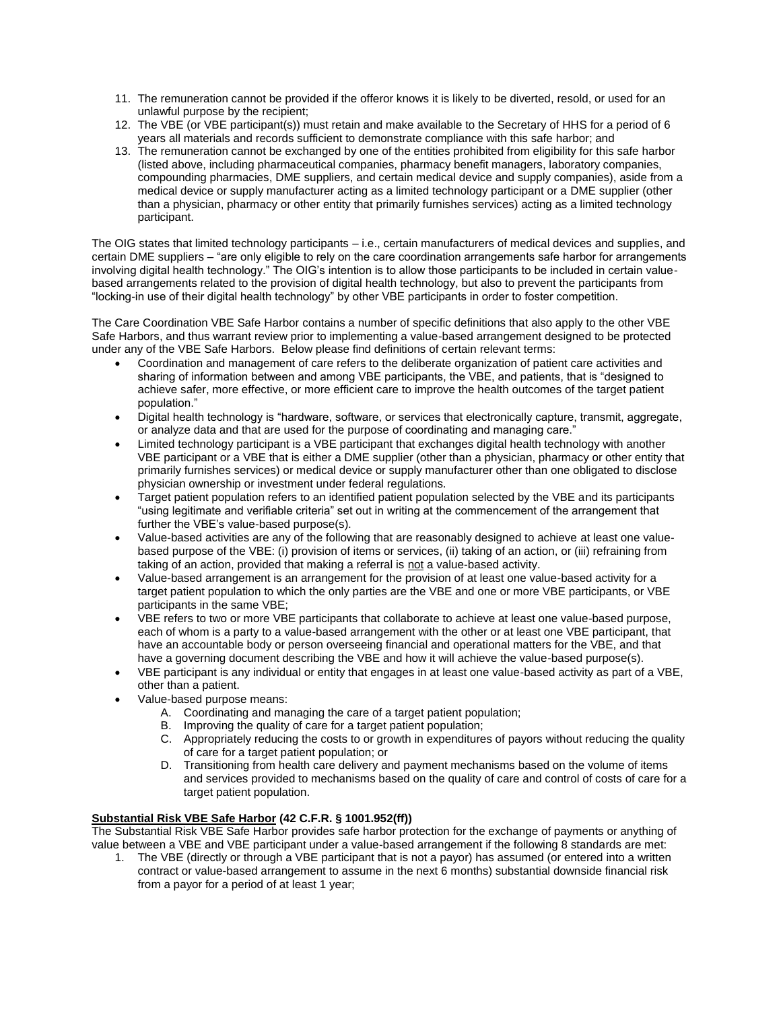- 11. The remuneration cannot be provided if the offeror knows it is likely to be diverted, resold, or used for an unlawful purpose by the recipient;
- 12. The VBE (or VBE participant(s)) must retain and make available to the Secretary of HHS for a period of 6 years all materials and records sufficient to demonstrate compliance with this safe harbor; and
- 13. The remuneration cannot be exchanged by one of the entities prohibited from eligibility for this safe harbor (listed above, including pharmaceutical companies, pharmacy benefit managers, laboratory companies, compounding pharmacies, DME suppliers, and certain medical device and supply companies), aside from a medical device or supply manufacturer acting as a limited technology participant or a DME supplier (other than a physician, pharmacy or other entity that primarily furnishes services) acting as a limited technology participant.

The OIG states that limited technology participants – i.e., certain manufacturers of medical devices and supplies, and certain DME suppliers – "are only eligible to rely on the care coordination arrangements safe harbor for arrangements involving digital health technology." The OIG's intention is to allow those participants to be included in certain valuebased arrangements related to the provision of digital health technology, but also to prevent the participants from "locking-in use of their digital health technology" by other VBE participants in order to foster competition.

The Care Coordination VBE Safe Harbor contains a number of specific definitions that also apply to the other VBE Safe Harbors, and thus warrant review prior to implementing a value-based arrangement designed to be protected under any of the VBE Safe Harbors. Below please find definitions of certain relevant terms:

- Coordination and management of care refers to the deliberate organization of patient care activities and sharing of information between and among VBE participants, the VBE, and patients, that is "designed to achieve safer, more effective, or more efficient care to improve the health outcomes of the target patient population."
- Digital health technology is "hardware, software, or services that electronically capture, transmit, aggregate, or analyze data and that are used for the purpose of coordinating and managing care."
- Limited technology participant is a VBE participant that exchanges digital health technology with another VBE participant or a VBE that is either a DME supplier (other than a physician, pharmacy or other entity that primarily furnishes services) or medical device or supply manufacturer other than one obligated to disclose physician ownership or investment under federal regulations.
- Target patient population refers to an identified patient population selected by the VBE and its participants "using legitimate and verifiable criteria" set out in writing at the commencement of the arrangement that further the VBE's value-based purpose(s).
- Value-based activities are any of the following that are reasonably designed to achieve at least one valuebased purpose of the VBE: (i) provision of items or services, (ii) taking of an action, or (iii) refraining from taking of an action, provided that making a referral is not a value-based activity.
- Value-based arrangement is an arrangement for the provision of at least one value-based activity for a target patient population to which the only parties are the VBE and one or more VBE participants, or VBE participants in the same VBE;
- VBE refers to two or more VBE participants that collaborate to achieve at least one value-based purpose, each of whom is a party to a value-based arrangement with the other or at least one VBE participant, that have an accountable body or person overseeing financial and operational matters for the VBE, and that have a governing document describing the VBE and how it will achieve the value-based purpose(s).
- VBE participant is any individual or entity that engages in at least one value-based activity as part of a VBE, other than a patient.
- Value-based purpose means:
	- A. Coordinating and managing the care of a target patient population;
	- B. Improving the quality of care for a target patient population;
	- C. Appropriately reducing the costs to or growth in expenditures of payors without reducing the quality of care for a target patient population; or
	- D. Transitioning from health care delivery and payment mechanisms based on the volume of items and services provided to mechanisms based on the quality of care and control of costs of care for a target patient population.

## **Substantial Risk VBE Safe Harbor (42 C.F.R. § 1001.952(ff))**

The Substantial Risk VBE Safe Harbor provides safe harbor protection for the exchange of payments or anything of value between a VBE and VBE participant under a value-based arrangement if the following 8 standards are met:

1. The VBE (directly or through a VBE participant that is not a payor) has assumed (or entered into a written contract or value-based arrangement to assume in the next 6 months) substantial downside financial risk from a payor for a period of at least 1 year;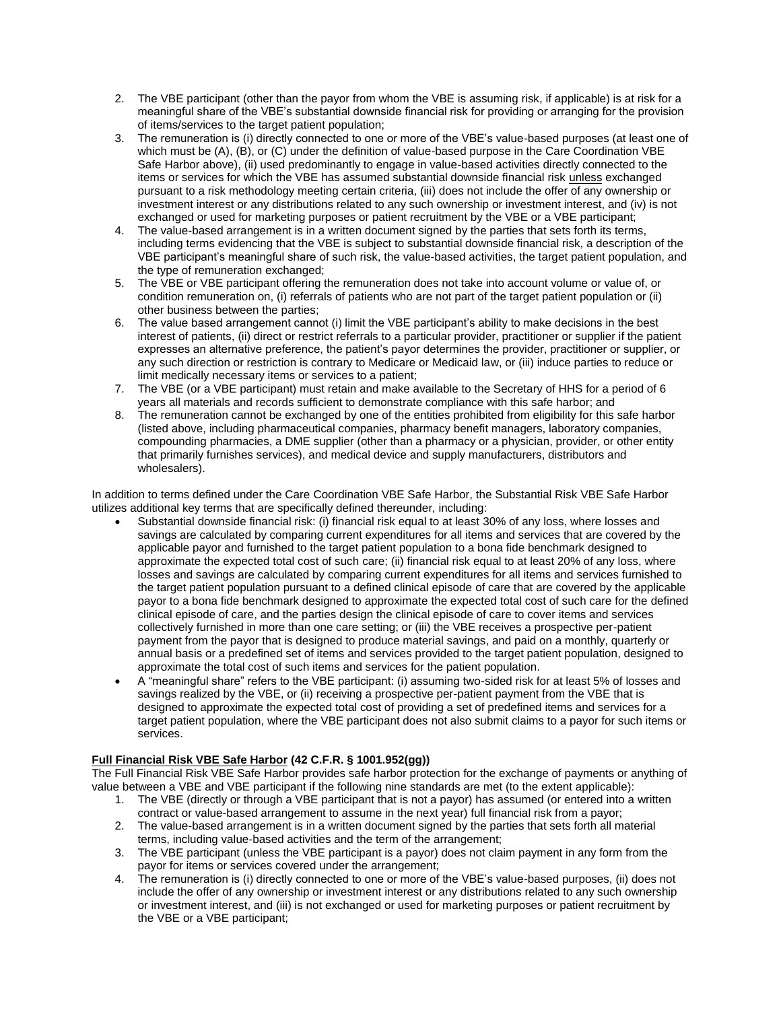- 2. The VBE participant (other than the payor from whom the VBE is assuming risk, if applicable) is at risk for a meaningful share of the VBE's substantial downside financial risk for providing or arranging for the provision of items/services to the target patient population;
- 3. The remuneration is (i) directly connected to one or more of the VBE's value-based purposes (at least one of which must be (A), (B), or (C) under the definition of value-based purpose in the Care Coordination VBE Safe Harbor above), (ii) used predominantly to engage in value-based activities directly connected to the items or services for which the VBE has assumed substantial downside financial risk unless exchanged pursuant to a risk methodology meeting certain criteria, (iii) does not include the offer of any ownership or investment interest or any distributions related to any such ownership or investment interest, and (iv) is not exchanged or used for marketing purposes or patient recruitment by the VBE or a VBE participant;
- 4. The value-based arrangement is in a written document signed by the parties that sets forth its terms, including terms evidencing that the VBE is subject to substantial downside financial risk, a description of the VBE participant's meaningful share of such risk, the value-based activities, the target patient population, and the type of remuneration exchanged;
- 5. The VBE or VBE participant offering the remuneration does not take into account volume or value of, or condition remuneration on, (i) referrals of patients who are not part of the target patient population or (ii) other business between the parties;
- 6. The value based arrangement cannot (i) limit the VBE participant's ability to make decisions in the best interest of patients, (ii) direct or restrict referrals to a particular provider, practitioner or supplier if the patient expresses an alternative preference, the patient's payor determines the provider, practitioner or supplier, or any such direction or restriction is contrary to Medicare or Medicaid law, or (iii) induce parties to reduce or limit medically necessary items or services to a patient;
- 7. The VBE (or a VBE participant) must retain and make available to the Secretary of HHS for a period of 6 years all materials and records sufficient to demonstrate compliance with this safe harbor; and
- 8. The remuneration cannot be exchanged by one of the entities prohibited from eligibility for this safe harbor (listed above, including pharmaceutical companies, pharmacy benefit managers, laboratory companies, compounding pharmacies, a DME supplier (other than a pharmacy or a physician, provider, or other entity that primarily furnishes services), and medical device and supply manufacturers, distributors and wholesalers).

In addition to terms defined under the Care Coordination VBE Safe Harbor, the Substantial Risk VBE Safe Harbor utilizes additional key terms that are specifically defined thereunder, including:

- Substantial downside financial risk: (i) financial risk equal to at least 30% of any loss, where losses and savings are calculated by comparing current expenditures for all items and services that are covered by the applicable payor and furnished to the target patient population to a bona fide benchmark designed to approximate the expected total cost of such care; (ii) financial risk equal to at least 20% of any loss, where losses and savings are calculated by comparing current expenditures for all items and services furnished to the target patient population pursuant to a defined clinical episode of care that are covered by the applicable payor to a bona fide benchmark designed to approximate the expected total cost of such care for the defined clinical episode of care, and the parties design the clinical episode of care to cover items and services collectively furnished in more than one care setting; or (iii) the VBE receives a prospective per-patient payment from the payor that is designed to produce material savings, and paid on a monthly, quarterly or annual basis or a predefined set of items and services provided to the target patient population, designed to approximate the total cost of such items and services for the patient population.
- A "meaningful share" refers to the VBE participant: (i) assuming two-sided risk for at least 5% of losses and savings realized by the VBE, or (ii) receiving a prospective per-patient payment from the VBE that is designed to approximate the expected total cost of providing a set of predefined items and services for a target patient population, where the VBE participant does not also submit claims to a payor for such items or services.

## **Full Financial Risk VBE Safe Harbor (42 C.F.R. § 1001.952(gg))**

The Full Financial Risk VBE Safe Harbor provides safe harbor protection for the exchange of payments or anything of value between a VBE and VBE participant if the following nine standards are met (to the extent applicable):

- 1. The VBE (directly or through a VBE participant that is not a payor) has assumed (or entered into a written contract or value-based arrangement to assume in the next year) full financial risk from a payor;
- 2. The value-based arrangement is in a written document signed by the parties that sets forth all material terms, including value-based activities and the term of the arrangement;
- 3. The VBE participant (unless the VBE participant is a payor) does not claim payment in any form from the payor for items or services covered under the arrangement;
- 4. The remuneration is (i) directly connected to one or more of the VBE's value-based purposes, (ii) does not include the offer of any ownership or investment interest or any distributions related to any such ownership or investment interest, and (iii) is not exchanged or used for marketing purposes or patient recruitment by the VBE or a VBE participant;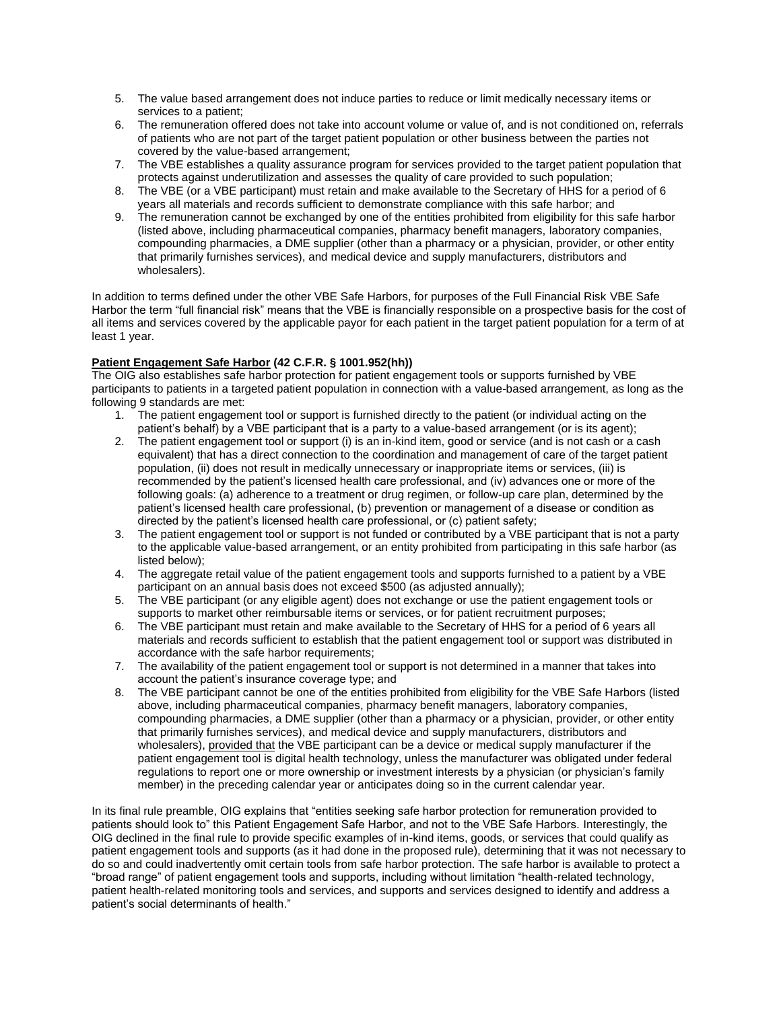- 5. The value based arrangement does not induce parties to reduce or limit medically necessary items or services to a patient;
- 6. The remuneration offered does not take into account volume or value of, and is not conditioned on, referrals of patients who are not part of the target patient population or other business between the parties not covered by the value-based arrangement;
- 7. The VBE establishes a quality assurance program for services provided to the target patient population that protects against underutilization and assesses the quality of care provided to such population;
- 8. The VBE (or a VBE participant) must retain and make available to the Secretary of HHS for a period of 6 years all materials and records sufficient to demonstrate compliance with this safe harbor; and
- 9. The remuneration cannot be exchanged by one of the entities prohibited from eligibility for this safe harbor (listed above, including pharmaceutical companies, pharmacy benefit managers, laboratory companies, compounding pharmacies, a DME supplier (other than a pharmacy or a physician, provider, or other entity that primarily furnishes services), and medical device and supply manufacturers, distributors and wholesalers).

In addition to terms defined under the other VBE Safe Harbors, for purposes of the Full Financial Risk VBE Safe Harbor the term "full financial risk" means that the VBE is financially responsible on a prospective basis for the cost of all items and services covered by the applicable payor for each patient in the target patient population for a term of at least 1 year.

## <span id="page-5-0"></span>**Patient Engagement Safe Harbor (42 C.F.R. § 1001.952(hh))**

The OIG also establishes safe harbor protection for patient engagement tools or supports furnished by VBE participants to patients in a targeted patient population in connection with a value-based arrangement, as long as the following 9 standards are met:

- 1. The patient engagement tool or support is furnished directly to the patient (or individual acting on the patient's behalf) by a VBE participant that is a party to a value-based arrangement (or is its agent);
- 2. The patient engagement tool or support (i) is an in-kind item, good or service (and is not cash or a cash equivalent) that has a direct connection to the coordination and management of care of the target patient population, (ii) does not result in medically unnecessary or inappropriate items or services, (iii) is recommended by the patient's licensed health care professional, and (iv) advances one or more of the following goals: (a) adherence to a treatment or drug regimen, or follow-up care plan, determined by the patient's licensed health care professional, (b) prevention or management of a disease or condition as directed by the patient's licensed health care professional, or (c) patient safety;
- 3. The patient engagement tool or support is not funded or contributed by a VBE participant that is not a party to the applicable value-based arrangement, or an entity prohibited from participating in this safe harbor (as listed below);
- 4. The aggregate retail value of the patient engagement tools and supports furnished to a patient by a VBE participant on an annual basis does not exceed \$500 (as adjusted annually);
- 5. The VBE participant (or any eligible agent) does not exchange or use the patient engagement tools or supports to market other reimbursable items or services, or for patient recruitment purposes;
- 6. The VBE participant must retain and make available to the Secretary of HHS for a period of 6 years all materials and records sufficient to establish that the patient engagement tool or support was distributed in accordance with the safe harbor requirements;
- 7. The availability of the patient engagement tool or support is not determined in a manner that takes into account the patient's insurance coverage type; and
- 8. The VBE participant cannot be one of the entities prohibited from eligibility for the VBE Safe Harbors (listed above, including pharmaceutical companies, pharmacy benefit managers, laboratory companies, compounding pharmacies, a DME supplier (other than a pharmacy or a physician, provider, or other entity that primarily furnishes services), and medical device and supply manufacturers, distributors and wholesalers), provided that the VBE participant can be a device or medical supply manufacturer if the patient engagement tool is digital health technology, unless the manufacturer was obligated under federal regulations to report one or more ownership or investment interests by a physician (or physician's family member) in the preceding calendar year or anticipates doing so in the current calendar year.

In its final rule preamble, OIG explains that "entities seeking safe harbor protection for remuneration provided to patients should look to" this Patient Engagement Safe Harbor, and not to the VBE Safe Harbors. Interestingly, the OIG declined in the final rule to provide specific examples of in-kind items, goods, or services that could qualify as patient engagement tools and supports (as it had done in the proposed rule), determining that it was not necessary to do so and could inadvertently omit certain tools from safe harbor protection. The safe harbor is available to protect a "broad range" of patient engagement tools and supports, including without limitation "health-related technology, patient health-related monitoring tools and services, and supports and services designed to identify and address a patient's social determinants of health."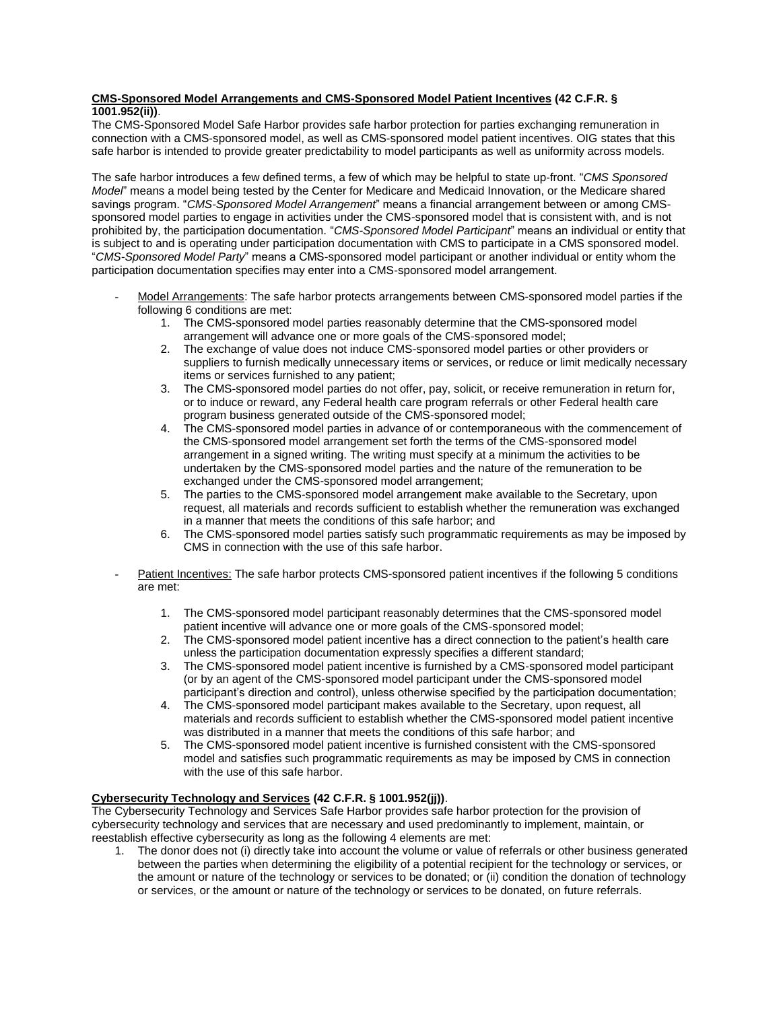## <span id="page-6-0"></span>**CMS-Sponsored Model Arrangements and CMS-Sponsored Model Patient Incentives (42 C.F.R. § 1001.952(ii))**.

The CMS-Sponsored Model Safe Harbor provides safe harbor protection for parties exchanging remuneration in connection with a CMS-sponsored model, as well as CMS-sponsored model patient incentives. OIG states that this safe harbor is intended to provide greater predictability to model participants as well as uniformity across models.

The safe harbor introduces a few defined terms, a few of which may be helpful to state up-front. "*CMS Sponsored Model*" means a model being tested by the Center for Medicare and Medicaid Innovation, or the Medicare shared savings program. "*CMS-Sponsored Model Arrangement*" means a financial arrangement between or among CMSsponsored model parties to engage in activities under the CMS-sponsored model that is consistent with, and is not prohibited by, the participation documentation. "*CMS-Sponsored Model Participant*" means an individual or entity that is subject to and is operating under participation documentation with CMS to participate in a CMS sponsored model. "*CMS-Sponsored Model Party*" means a CMS-sponsored model participant or another individual or entity whom the participation documentation specifies may enter into a CMS-sponsored model arrangement.

- Model Arrangements: The safe harbor protects arrangements between CMS-sponsored model parties if the following 6 conditions are met:
	- 1. The CMS-sponsored model parties reasonably determine that the CMS-sponsored model arrangement will advance one or more goals of the CMS-sponsored model;
	- 2. The exchange of value does not induce CMS-sponsored model parties or other providers or suppliers to furnish medically unnecessary items or services, or reduce or limit medically necessary items or services furnished to any patient;
	- 3. The CMS-sponsored model parties do not offer, pay, solicit, or receive remuneration in return for, or to induce or reward, any Federal health care program referrals or other Federal health care program business generated outside of the CMS-sponsored model;
	- 4. The CMS-sponsored model parties in advance of or contemporaneous with the commencement of the CMS-sponsored model arrangement set forth the terms of the CMS-sponsored model arrangement in a signed writing. The writing must specify at a minimum the activities to be undertaken by the CMS-sponsored model parties and the nature of the remuneration to be exchanged under the CMS-sponsored model arrangement;
	- 5. The parties to the CMS-sponsored model arrangement make available to the Secretary, upon request, all materials and records sufficient to establish whether the remuneration was exchanged in a manner that meets the conditions of this safe harbor; and
	- 6. The CMS-sponsored model parties satisfy such programmatic requirements as may be imposed by CMS in connection with the use of this safe harbor.
- Patient Incentives: The safe harbor protects CMS-sponsored patient incentives if the following 5 conditions are met:
	- 1. The CMS-sponsored model participant reasonably determines that the CMS-sponsored model patient incentive will advance one or more goals of the CMS-sponsored model;
	- 2. The CMS-sponsored model patient incentive has a direct connection to the patient's health care unless the participation documentation expressly specifies a different standard;
	- 3. The CMS-sponsored model patient incentive is furnished by a CMS-sponsored model participant (or by an agent of the CMS-sponsored model participant under the CMS-sponsored model participant's direction and control), unless otherwise specified by the participation documentation;
	- 4. The CMS-sponsored model participant makes available to the Secretary, upon request, all materials and records sufficient to establish whether the CMS-sponsored model patient incentive was distributed in a manner that meets the conditions of this safe harbor; and
	- 5. The CMS-sponsored model patient incentive is furnished consistent with the CMS-sponsored model and satisfies such programmatic requirements as may be imposed by CMS in connection with the use of this safe harbor.

## <span id="page-6-1"></span>**Cybersecurity Technology and Services (42 C.F.R. § 1001.952(jj))**.

The Cybersecurity Technology and Services Safe Harbor provides safe harbor protection for the provision of cybersecurity technology and services that are necessary and used predominantly to implement, maintain, or reestablish effective cybersecurity as long as the following 4 elements are met:

1. The donor does not (i) directly take into account the volume or value of referrals or other business generated between the parties when determining the eligibility of a potential recipient for the technology or services, or the amount or nature of the technology or services to be donated; or (ii) condition the donation of technology or services, or the amount or nature of the technology or services to be donated, on future referrals.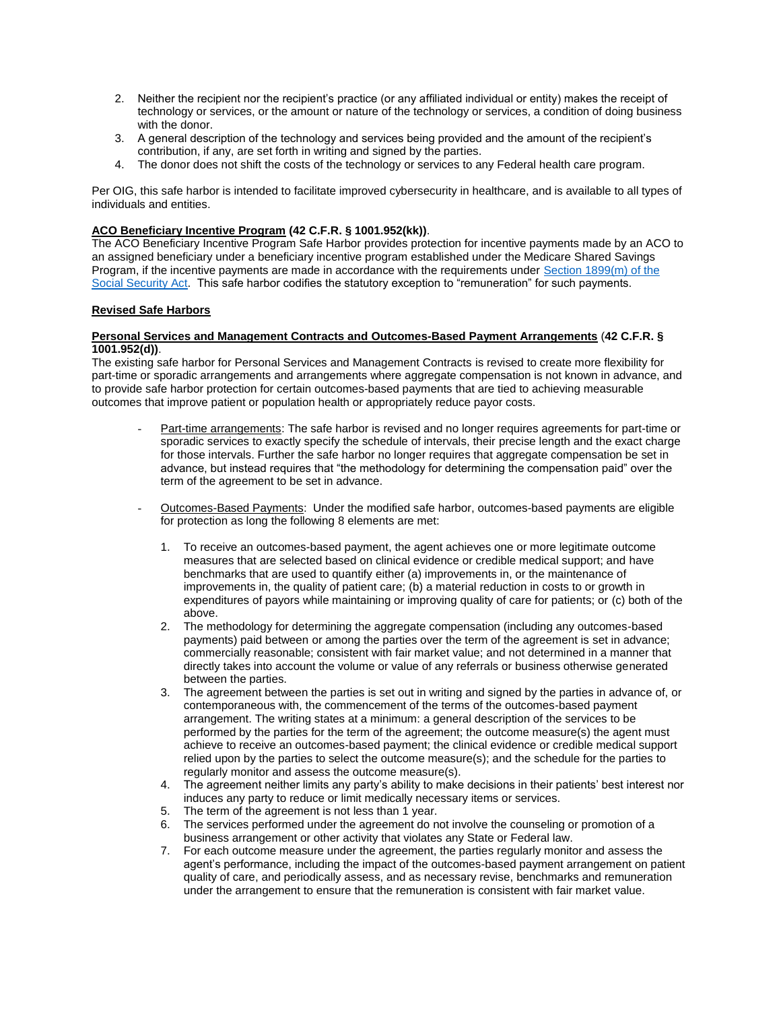- 2. Neither the recipient nor the recipient's practice (or any affiliated individual or entity) makes the receipt of technology or services, or the amount or nature of the technology or services, a condition of doing business with the donor.
- 3. A general description of the technology and services being provided and the amount of the recipient's contribution, if any, are set forth in writing and signed by the parties.
- 4. The donor does not shift the costs of the technology or services to any Federal health care program.

Per OIG, this safe harbor is intended to facilitate improved cybersecurity in healthcare, and is available to all types of individuals and entities.

#### <span id="page-7-0"></span>**ACO Beneficiary Incentive Program (42 C.F.R. § 1001.952(kk))**.

The ACO Beneficiary Incentive Program Safe Harbor provides protection for incentive payments made by an ACO to an assigned beneficiary under a beneficiary incentive program established under the Medicare Shared Savings Program, if the incentive payments are made in accordance with the requirements under [Section 1899\(m\) of the](https://www.ssa.gov/OP_Home/ssact/title18/1899.htm#:~:text=%E2%80%94The%20Secretary%20shall%20establish%20quality,assessing%20such%20quality%20of%20care.)  [Social Security Act.](https://www.ssa.gov/OP_Home/ssact/title18/1899.htm#:~:text=%E2%80%94The%20Secretary%20shall%20establish%20quality,assessing%20such%20quality%20of%20care.) This safe harbor codifies the statutory exception to "remuneration" for such payments.

#### **Revised Safe Harbors**

#### <span id="page-7-1"></span>**Personal Services and Management Contracts and Outcomes-Based Payment Arrangements** (**42 C.F.R. § 1001.952(d))**.

The existing safe harbor for Personal Services and Management Contracts is revised to create more flexibility for part-time or sporadic arrangements and arrangements where aggregate compensation is not known in advance, and to provide safe harbor protection for certain outcomes-based payments that are tied to achieving measurable outcomes that improve patient or population health or appropriately reduce payor costs.

- Part-time arrangements: The safe harbor is revised and no longer requires agreements for part-time or sporadic services to exactly specify the schedule of intervals, their precise length and the exact charge for those intervals. Further the safe harbor no longer requires that aggregate compensation be set in advance, but instead requires that "the methodology for determining the compensation paid" over the term of the agreement to be set in advance.
- Outcomes-Based Payments: Under the modified safe harbor, outcomes-based payments are eligible for protection as long the following 8 elements are met:
	- 1. To receive an outcomes-based payment, the agent achieves one or more legitimate outcome measures that are selected based on clinical evidence or credible medical support; and have benchmarks that are used to quantify either (a) improvements in, or the maintenance of improvements in, the quality of patient care; (b) a material reduction in costs to or growth in expenditures of payors while maintaining or improving quality of care for patients; or (c) both of the above.
	- 2. The methodology for determining the aggregate compensation (including any outcomes-based payments) paid between or among the parties over the term of the agreement is set in advance; commercially reasonable; consistent with fair market value; and not determined in a manner that directly takes into account the volume or value of any referrals or business otherwise generated between the parties.
	- 3. The agreement between the parties is set out in writing and signed by the parties in advance of, or contemporaneous with, the commencement of the terms of the outcomes-based payment arrangement. The writing states at a minimum: a general description of the services to be performed by the parties for the term of the agreement; the outcome measure(s) the agent must achieve to receive an outcomes-based payment; the clinical evidence or credible medical support relied upon by the parties to select the outcome measure(s); and the schedule for the parties to regularly monitor and assess the outcome measure(s).
	- 4. The agreement neither limits any party's ability to make decisions in their patients' best interest nor induces any party to reduce or limit medically necessary items or services.
	- 5. The term of the agreement is not less than 1 year.
	- 6. The services performed under the agreement do not involve the counseling or promotion of a business arrangement or other activity that violates any State or Federal law.
	- 7. For each outcome measure under the agreement, the parties regularly monitor and assess the agent's performance, including the impact of the outcomes-based payment arrangement on patient quality of care, and periodically assess, and as necessary revise, benchmarks and remuneration under the arrangement to ensure that the remuneration is consistent with fair market value.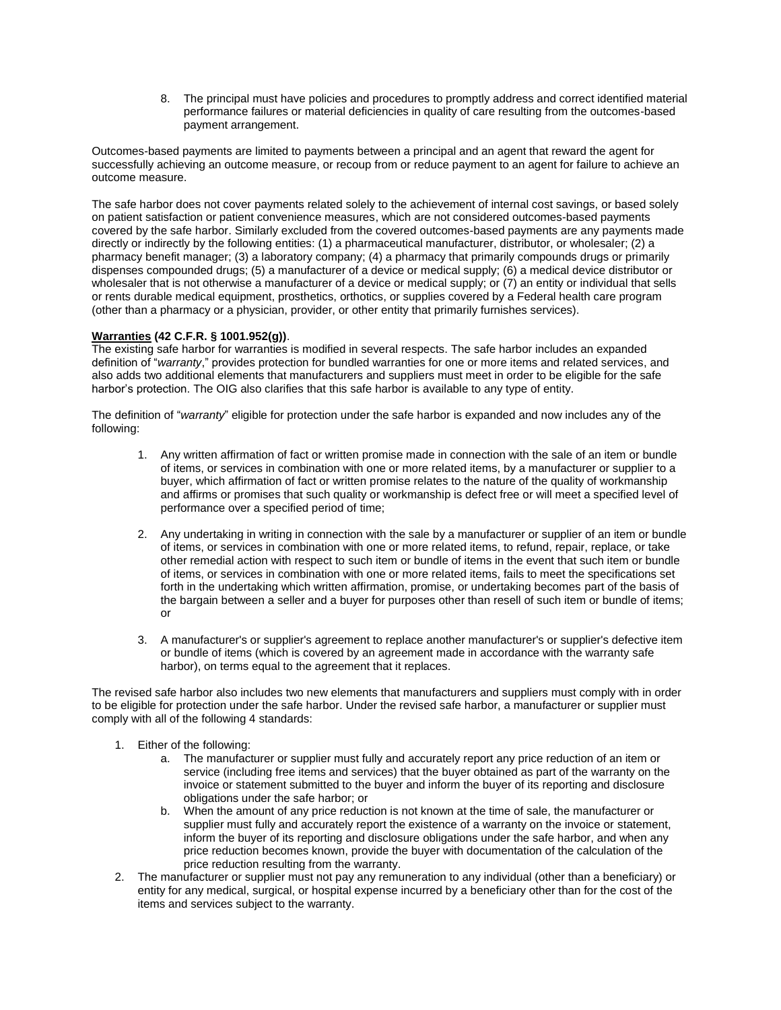8. The principal must have policies and procedures to promptly address and correct identified material performance failures or material deficiencies in quality of care resulting from the outcomes-based payment arrangement.

Outcomes-based payments are limited to payments between a principal and an agent that reward the agent for successfully achieving an outcome measure, or recoup from or reduce payment to an agent for failure to achieve an outcome measure.

The safe harbor does not cover payments related solely to the achievement of internal cost savings, or based solely on patient satisfaction or patient convenience measures, which are not considered outcomes-based payments covered by the safe harbor. Similarly excluded from the covered outcomes-based payments are any payments made directly or indirectly by the following entities: (1) a pharmaceutical manufacturer, distributor, or wholesaler; (2) a pharmacy benefit manager; (3) a laboratory company; (4) a pharmacy that primarily compounds drugs or primarily dispenses compounded drugs; (5) a manufacturer of a device or medical supply; (6) a medical device distributor or wholesaler that is not otherwise a manufacturer of a device or medical supply; or (7) an entity or individual that sells or rents durable medical equipment, prosthetics, orthotics, or supplies covered by a Federal health care program (other than a pharmacy or a physician, provider, or other entity that primarily furnishes services).

#### <span id="page-8-0"></span>**Warranties (42 C.F.R. § 1001.952(g))**.

The existing safe harbor for warranties is modified in several respects. The safe harbor includes an expanded definition of "*warranty*," provides protection for bundled warranties for one or more items and related services, and also adds two additional elements that manufacturers and suppliers must meet in order to be eligible for the safe harbor's protection. The OIG also clarifies that this safe harbor is available to any type of entity.

The definition of "*warranty*" eligible for protection under the safe harbor is expanded and now includes any of the following:

- 1. Any written affirmation of fact or written promise made in connection with the sale of an item or bundle of items, or services in combination with one or more related items, by a manufacturer or supplier to a buyer, which affirmation of fact or written promise relates to the nature of the quality of workmanship and affirms or promises that such quality or workmanship is defect free or will meet a specified level of performance over a specified period of time;
- 2. Any undertaking in writing in connection with the sale by a manufacturer or supplier of an item or bundle of items, or services in combination with one or more related items, to refund, repair, replace, or take other remedial action with respect to such item or bundle of items in the event that such item or bundle of items, or services in combination with one or more related items, fails to meet the specifications set forth in the undertaking which written affirmation, promise, or undertaking becomes part of the basis of the bargain between a seller and a buyer for purposes other than resell of such item or bundle of items; or
- 3. A manufacturer's or supplier's agreement to replace another manufacturer's or supplier's defective item or bundle of items (which is covered by an agreement made in accordance with the warranty safe harbor), on terms equal to the agreement that it replaces.

The revised safe harbor also includes two new elements that manufacturers and suppliers must comply with in order to be eligible for protection under the safe harbor. Under the revised safe harbor, a manufacturer or supplier must comply with all of the following 4 standards:

- 1. Either of the following:
	- a. The manufacturer or supplier must fully and accurately report any price reduction of an item or service (including free items and services) that the buyer obtained as part of the warranty on the invoice or statement submitted to the buyer and inform the buyer of its reporting and disclosure obligations under the safe harbor; or
	- b. When the amount of any price reduction is not known at the time of sale, the manufacturer or supplier must fully and accurately report the existence of a warranty on the invoice or statement, inform the buyer of its reporting and disclosure obligations under the safe harbor, and when any price reduction becomes known, provide the buyer with documentation of the calculation of the price reduction resulting from the warranty.
- 2. The manufacturer or supplier must not pay any remuneration to any individual (other than a beneficiary) or entity for any medical, surgical, or hospital expense incurred by a beneficiary other than for the cost of the items and services subject to the warranty.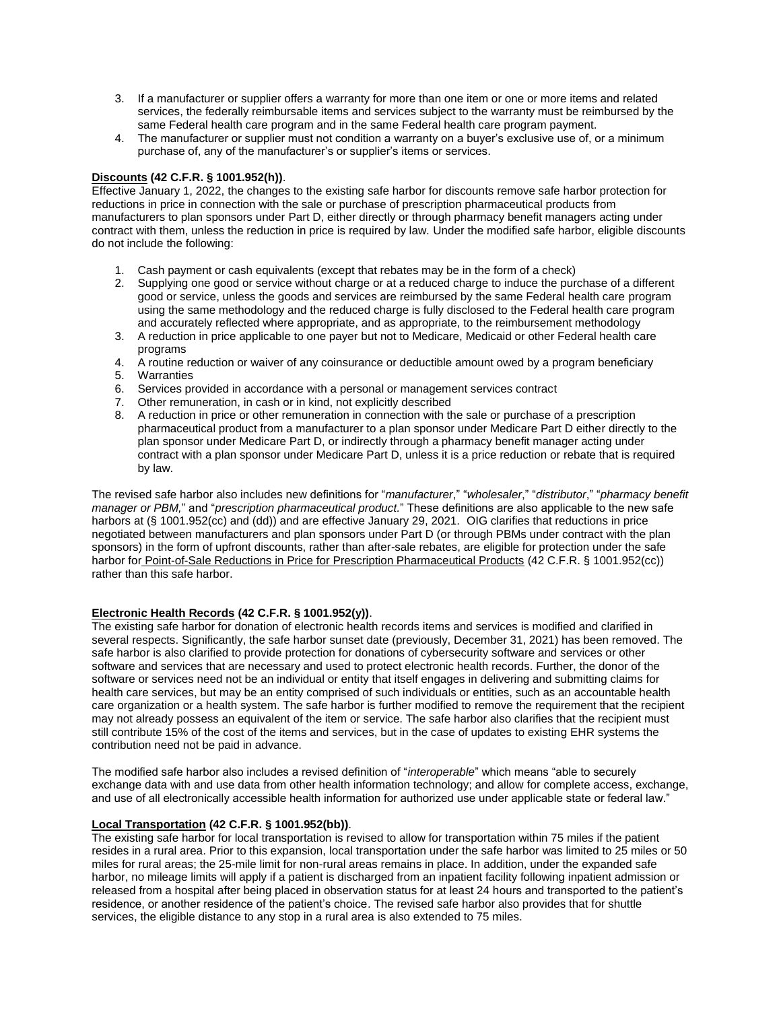- 3. If a manufacturer or supplier offers a warranty for more than one item or one or more items and related services, the federally reimbursable items and services subject to the warranty must be reimbursed by the same Federal health care program and in the same Federal health care program payment.
- 4. The manufacturer or supplier must not condition a warranty on a buyer's exclusive use of, or a minimum purchase of, any of the manufacturer's or supplier's items or services.

## <span id="page-9-0"></span>**Discounts (42 C.F.R. § 1001.952(h))**.

Effective January 1, 2022, the changes to the existing safe harbor for discounts remove safe harbor protection for reductions in price in connection with the sale or purchase of prescription pharmaceutical products from manufacturers to plan sponsors under Part D, either directly or through pharmacy benefit managers acting under contract with them, unless the reduction in price is required by law. Under the modified safe harbor, eligible discounts do not include the following:

- 1. Cash payment or cash equivalents (except that rebates may be in the form of a check)
- 2. Supplying one good or service without charge or at a reduced charge to induce the purchase of a different good or service, unless the goods and services are reimbursed by the same Federal health care program using the same methodology and the reduced charge is fully disclosed to the Federal health care program and accurately reflected where appropriate, and as appropriate, to the reimbursement methodology
- 3. A reduction in price applicable to one payer but not to Medicare, Medicaid or other Federal health care programs
- 4. A routine reduction or waiver of any coinsurance or deductible amount owed by a program beneficiary
- 5. Warranties
- 6. Services provided in accordance with a personal or management services contract
- 7. Other remuneration, in cash or in kind, not explicitly described
- 8. A reduction in price or other remuneration in connection with the sale or purchase of a prescription pharmaceutical product from a manufacturer to a plan sponsor under Medicare Part D either directly to the plan sponsor under Medicare Part D, or indirectly through a pharmacy benefit manager acting under contract with a plan sponsor under Medicare Part D, unless it is a price reduction or rebate that is required by law.

The revised safe harbor also includes new definitions for "*manufacturer*," "*wholesaler*," "*distributor*," "*pharmacy benefit manager or PBM,*" and "*prescription pharmaceutical product.*" These definitions are also applicable to the new safe harbors at (§ 1001.952(cc) and (dd)) and are effective January 29, 2021. OIG clarifies that reductions in price negotiated between manufacturers and plan sponsors under Part D (or through PBMs under contract with the plan sponsors) in the form of upfront discounts, rather than after-sale rebates, are eligible for protection under the safe harbor for Point-of-Sale Reductions in Price for Prescription Pharmaceutical Products (42 C.F.R. § 1001.952(cc)) rather than this safe harbor.

#### <span id="page-9-1"></span>**Electronic Health Records (42 C.F.R. § 1001.952(y))**.

The existing safe harbor for donation of electronic health records items and services is modified and clarified in several respects. Significantly, the safe harbor sunset date (previously, December 31, 2021) has been removed. The safe harbor is also clarified to provide protection for donations of cybersecurity software and services or other software and services that are necessary and used to protect electronic health records. Further, the donor of the software or services need not be an individual or entity that itself engages in delivering and submitting claims for health care services, but may be an entity comprised of such individuals or entities, such as an accountable health care organization or a health system. The safe harbor is further modified to remove the requirement that the recipient may not already possess an equivalent of the item or service. The safe harbor also clarifies that the recipient must still contribute 15% of the cost of the items and services, but in the case of updates to existing EHR systems the contribution need not be paid in advance.

The modified safe harbor also includes a revised definition of "*interoperable*" which means "able to securely exchange data with and use data from other health information technology; and allow for complete access, exchange, and use of all electronically accessible health information for authorized use under applicable state or federal law."

#### <span id="page-9-2"></span>**Local Transportation (42 C.F.R. § 1001.952(bb))**.

The existing safe harbor for local transportation is revised to allow for transportation within 75 miles if the patient resides in a rural area. Prior to this expansion, local transportation under the safe harbor was limited to 25 miles or 50 miles for rural areas; the 25-mile limit for non-rural areas remains in place. In addition, under the expanded safe harbor, no mileage limits will apply if a patient is discharged from an inpatient facility following inpatient admission or released from a hospital after being placed in observation status for at least 24 hours and transported to the patient's residence, or another residence of the patient's choice. The revised safe harbor also provides that for shuttle services, the eligible distance to any stop in a rural area is also extended to 75 miles.